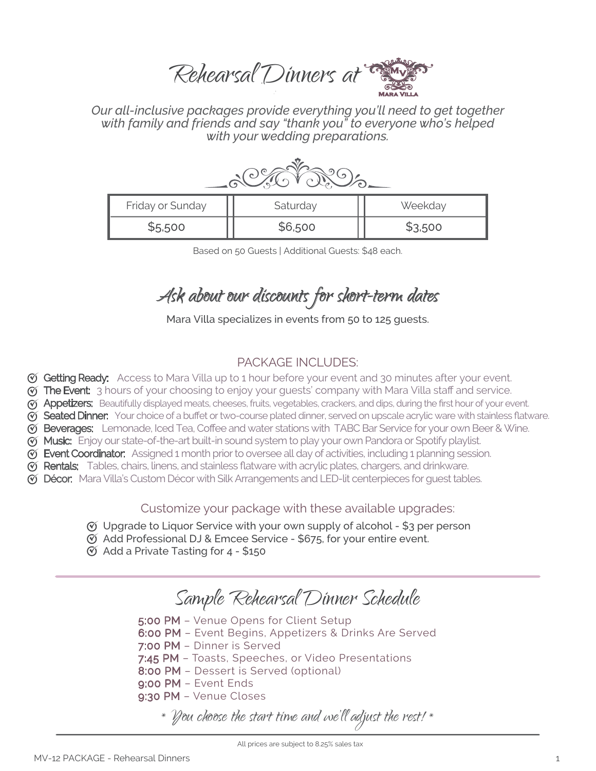Rehearsal Dinners at

*Our all-inclusive packages provide everything you'll need to get together with family and friends and say "thank you" to everyone who's helped with your wedding preparations.*

| Friday or Sunday | Saturday | Weekday |
|------------------|----------|---------|
| \$5,500          | \$6,500  | \$3,500 |

Based on 50 Guests | Additional Guests: \$48 each.

# Ask about our discounts for short-term dates

Mara Villa specializes in events from 50 to 125 guests.

# PACKAGE INCLUDES:

- Gotting Ready: Access to Mara Villa up to 1 hour before your event and 30 minutes after your event.
- **The Event:** 3 hours of your choosing to enjoy your guests' company with Mara Villa staff and service.
- $\gamma$  **Appetizers:** Beautifully displayed meats, cheeses, fruits, vegetables, crackers, and dips, during the first hour of your event.
- **(v) Seated Dinner:** Your choice of a buffet or two-course plated dinner, served on upscale acrylic ware with stainless flatware.
- G Beverages: Lemonade, Iced Tea, Coffee and water stations with TABC Bar Service for your own Beer & Wine.
- **Music:** Enjoy our state-of-the-art built-in sound system to play your own Pandora or Spotify playlist.
- Event Coordinator: Assigned 1 month prior to oversee all day of activities, including 1 planning session.
- $\%$  **Rentals:** Tables, chairs, linens, and stainless flatware with acrylic plates, chargers, and drinkware.
- $\%$  **Décor:** Mara Villa's Custom Décor with Silk Arrangements and LED-lit centerpieces for quest tables.

Customize your package with these available upgrades:

- $\mathfrak{G}$  Upgrade to Liquor Service with your own supply of alcohol \$3 per person
- $\mathfrak{G}$  Add Professional DJ & Emcee Service \$675, for your entire event.
- $\circledcirc$  Add a Private Tasting for 4 \$150

# Sample Rehearsal Dinner Schedule

5:00 PM – Venue Opens for Client Setup

- 6:00 PM Event Begins, Appetizers & Drinks Are Served
- 7:00 PM Dinner is Served
- 7:45 PM Toasts, Speeches, or Video Presentations
- 8:00 PM Dessert is Served (optional)
- 9:00 PM Event Ends
- 9:30 PM Venue Closes
	- \* You choose the start time and we'll adjust the rest! \*